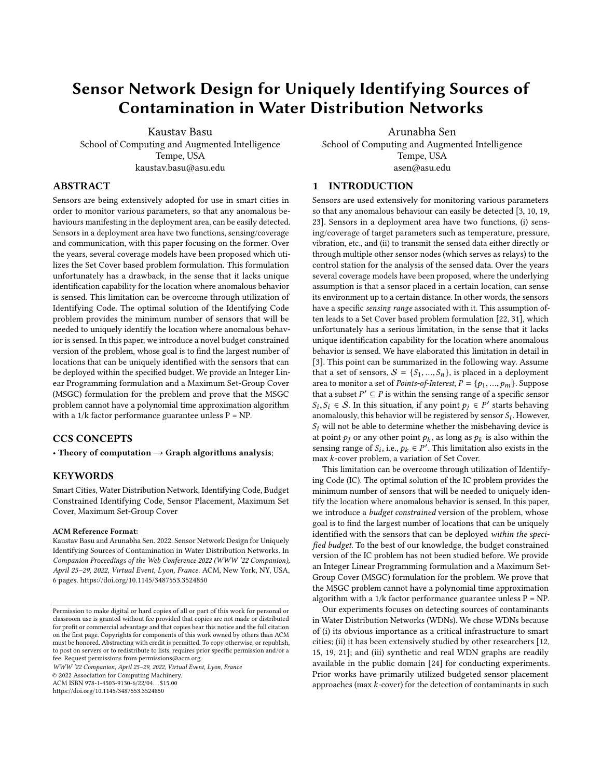# Sensor Network Design for Uniquely Identifying Sources of Contamination in Water Distribution Networks

Kaustav Basu School of Computing and Augmented Intelligence Tempe, USA kaustav.basu@asu.edu

Arunabha Sen

School of Computing and Augmented Intelligence Tempe, USA asen@asu.edu

# ABSTRACT

Sensors are being extensively adopted for use in smart cities in order to monitor various parameters, so that any anomalous behaviours manifesting in the deployment area, can be easily detected. Sensors in a deployment area have two functions, sensing/coverage and communication, with this paper focusing on the former. Over the years, several coverage models have been proposed which utilizes the Set Cover based problem formulation. This formulation unfortunately has a drawback, in the sense that it lacks unique identification capability for the location where anomalous behavior is sensed. This limitation can be overcome through utilization of Identifying Code. The optimal solution of the Identifying Code problem provides the minimum number of sensors that will be needed to uniquely identify the location where anomalous behavior is sensed. In this paper, we introduce a novel budget constrained version of the problem, whose goal is to find the largest number of locations that can be uniquely identified with the sensors that can be deployed within the specified budget. We provide an Integer Linear Programming formulation and a Maximum Set-Group Cover (MSGC) formulation for the problem and prove that the MSGC problem cannot have a polynomial time approximation algorithm with a  $1/k$  factor performance guarantee unless  $P = NP$ .

# CCS CONCEPTS

• Theory of computation  $\rightarrow$  Graph algorithms analysis;

## KEYWORDS

Smart Cities, Water Distribution Network, Identifying Code, Budget Constrained Identifying Code, Sensor Placement, Maximum Set Cover, Maximum Set-Group Cover

#### ACM Reference Format:

Kaustav Basu and Arunabha Sen. 2022. Sensor Network Design for Uniquely Identifying Sources of Contamination in Water Distribution Networks. In Companion Proceedings of the Web Conference 2022 (WWW '22 Companion), April 25–29, 2022, Virtual Event, Lyon, France. ACM, New York, NY, USA, [6](#page-5-0) pages.<https://doi.org/10.1145/3487553.3524850>

WWW '22 Companion, April 25–29, 2022, Virtual Event, Lyon, France

© 2022 Association for Computing Machinery.

ACM ISBN 978-1-4503-9130-6/22/04. . . \$15.00

<https://doi.org/10.1145/3487553.3524850>

## <span id="page-0-0"></span>1 INTRODUCTION

Sensors are used extensively for monitoring various parameters so that any anomalous behaviour can easily be detected [\[3,](#page-5-1) [10,](#page-5-2) [19,](#page-5-3) [23\]](#page-5-4). Sensors in a deployment area have two functions, (i) sensing/coverage of target parameters such as temperature, pressure, vibration, etc., and (ii) to transmit the sensed data either directly or through multiple other sensor nodes (which serves as relays) to the control station for the analysis of the sensed data. Over the years several coverage models have been proposed, where the underlying assumption is that a sensor placed in a certain location, can sense its environment up to a certain distance. In other words, the sensors have a specific sensing range associated with it. This assumption often leads to a Set Cover based problem formulation [\[22,](#page-5-5) [31\]](#page-5-6), which unfortunately has a serious limitation, in the sense that it lacks unique identification capability for the location where anomalous behavior is sensed. We have elaborated this limitation in detail in [\[3\]](#page-5-1). This point can be summarized in the following way. Assume that a set of sensors,  $S = \{S_1, ..., S_n\}$ , is placed in a deployment area to monitor a set of *Points-of-Interest*,  $P = \{p_1, ..., p_m\}$ . Suppose that a subset  $P' \subseteq P$  is within the sensing range of a specific sensor<br>S. S.  $\in$  S. In this situation, if any point  $P \subseteq P'$  starts behaving  $\sum_{i=1}^{n} S_i$  and  $\sum_{i=1}^{n} S_i$  this behavior will be registered by sensor  $S_i$ . However,  $S_i$  will not be able to determine whether the mishehavior device is  $S_i \in S$ . In this situation, if any point  $p_j \in P'$  starts behaving<br>complously this behavior will be registered by sensor S. However  $S_i$  will not be able to determine whether the misbehaving device is at point  $p_j$  or any other point  $p_k$ , as long as  $p_k$  is also within the sensing range of  $S_i$ , i.e.,  $p_i \in P'$ . This limitation also exists in the sensing range of  $S_i$ , i.e.,  $p_k \in P'$ . This limitation also exists in the may k-cover problem a variation of Set Cover. max k-cover problem, a variation of Set Cover.

This limitation can be overcome through utilization of Identifying Code (IC). The optimal solution of the IC problem provides the minimum number of sensors that will be needed to uniquely identify the location where anomalous behavior is sensed. In this paper, we introduce a *budget constrained* version of the problem, whose goal is to find the largest number of locations that can be uniquely identified with the sensors that can be deployed within the specified budget. To the best of our knowledge, the budget constrained version of the IC problem has not been studied before. We provide an Integer Linear Programming formulation and a Maximum Set-Group Cover (MSGC) formulation for the problem. We prove that the MSGC problem cannot have a polynomial time approximation algorithm with a  $1/k$  factor performance guarantee unless  $P = NP$ .

Our experiments focuses on detecting sources of contaminants in Water Distribution Networks (WDNs). We chose WDNs because of (i) its obvious importance as a critical infrastructure to smart cities; (ii) it has been extensively studied by other researchers [\[12,](#page-5-7) [15,](#page-5-8) [19,](#page-5-3) [21\]](#page-5-9); and (iii) synthetic and real WDN graphs are readily available in the public domain [\[24\]](#page-5-10) for conducting experiments. Prior works have primarily utilized budgeted sensor placement approaches (max k-cover) for the detection of contaminants in such

Permission to make digital or hard copies of all or part of this work for personal or classroom use is granted without fee provided that copies are not made or distributed for profit or commercial advantage and that copies bear this notice and the full citation on the first page. Copyrights for components of this work owned by others than ACM must be honored. Abstracting with credit is permitted. To copy otherwise, or republish, to post on servers or to redistribute to lists, requires prior specific permission and/or a fee. Request permissions from permissions@acm.org.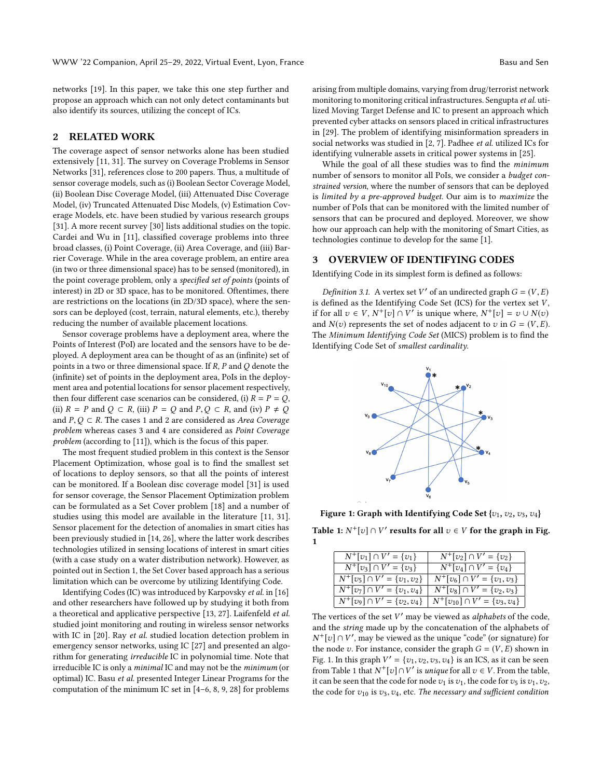networks [\[19\]](#page-5-3). In this paper, we take this one step further and propose an approach which can not only detect contaminants but also identify its sources, utilizing the concept of ICs.

## 2 RELATED WORK

The coverage aspect of sensor networks alone has been studied extensively [\[11,](#page-5-11) [31\]](#page-5-6). The survey on Coverage Problems in Sensor Networks [\[31\]](#page-5-6), references close to 200 papers. Thus, a multitude of sensor coverage models, such as (i) Boolean Sector Coverage Model, (ii) Boolean Disc Coverage Model, (iii) Attenuated Disc Coverage Model, (iv) Truncated Attenuated Disc Models, (v) Estimation Coverage Models, etc. have been studied by various research groups [\[31\]](#page-5-6). A more recent survey [\[30\]](#page-5-12) lists additional studies on the topic. Cardei and Wu in [\[11\]](#page-5-11), classified coverage problems into three broad classes, (i) Point Coverage, (ii) Area Coverage, and (iii) Barrier Coverage. While in the area coverage problem, an entire area (in two or three dimensional space) has to be sensed (monitored), in the point coverage problem, only a specified set of points (points of interest) in 2D or 3D space, has to be monitored. Oftentimes, there are restrictions on the locations (in 2D/3D space), where the sensors can be deployed (cost, terrain, natural elements, etc.), thereby reducing the number of available placement locations.

Sensor coverage problems have a deployment area, where the Points of Interest (PoI) are located and the sensors have to be deployed. A deployment area can be thought of as an (infinite) set of points in a two or three dimensional space. If  $R$ ,  $P$  and  $Q$  denote the (infinite) set of points in the deployment area, PoIs in the deployment area and potential locations for sensor placement respectively, then four different case scenarios can be considered, (i)  $R = P = Q$ , (ii)  $R = P$  and  $Q \subset R$ , (iii)  $P = Q$  and  $P, Q \subset R$ , and (iv)  $P \neq Q$ and  $P, Q \subset R$ . The cases 1 and 2 are considered as *Area Coverage* problem whereas cases 3 and 4 are considered as Point Coverage problem (according to [\[11\]](#page-5-11)), which is the focus of this paper.

The most frequent studied problem in this context is the Sensor Placement Optimization, whose goal is to find the smallest set of locations to deploy sensors, so that all the points of interest can be monitored. If a Boolean disc coverage model [\[31\]](#page-5-6) is used for sensor coverage, the Sensor Placement Optimization problem can be formulated as a Set Cover problem [\[18\]](#page-5-13) and a number of studies using this model are available in the literature [\[11,](#page-5-11) [31\]](#page-5-6). Sensor placement for the detection of anomalies in smart cities has been previously studied in [\[14,](#page-5-14) [26\]](#page-5-15), where the latter work describes technologies utilized in sensing locations of interest in smart cities (with a case study on a water distribution network). However, as pointed out in Section [1,](#page-0-0) the Set Cover based approach has a serious limitation which can be overcome by utilizing Identifying Code.

Identifying Codes (IC) was introduced by Karpovsky et al. in [\[16\]](#page-5-16) and other researchers have followed up by studying it both from a theoretical and applicative perspective [\[13,](#page-5-17) [27\]](#page-5-18). Laifenfeld et al. studied joint monitoring and routing in wireless sensor networks with IC in [\[20\]](#page-5-19). Ray et al. studied location detection problem in emergency sensor networks, using IC [\[27\]](#page-5-18) and presented an algorithm for generating irreducible IC in polynomial time. Note that irreducible IC is only a minimal IC and may not be the minimum (or optimal) IC. Basu et al. presented Integer Linear Programs for the computation of the minimum IC set in [\[4–](#page-5-20)[6,](#page-5-21) [8,](#page-5-22) [9,](#page-5-23) [28\]](#page-5-24) for problems

arising from multiple domains, varying from drug/terrorist network monitoring to monitoring critical infrastructures. Sengupta et al. utilized Moving Target Defense and IC to present an approach which prevented cyber attacks on sensors placed in critical infrastructures in [\[29\]](#page-5-25). The problem of identifying misinformation spreaders in social networks was studied in [\[2,](#page-5-26) [7\]](#page-5-27). Padhee et al. utilized ICs for identifying vulnerable assets in critical power systems in [\[25\]](#page-5-28).

While the goal of all these studies was to find the minimum number of sensors to monitor all PoIs, we consider a budget constrained version, where the number of sensors that can be deployed is limited by a pre-approved budget. Our aim is to maximize the number of PoIs that can be monitored with the limited number of sensors that can be procured and deployed. Moreover, we show how our approach can help with the monitoring of Smart Cities, as technologies continue to develop for the same [\[1\]](#page-5-29).

## 3 OVERVIEW OF IDENTIFYING CODES

Identifying Code in its simplest form is defined as follows:

Definition 3.1. A vertex set V' of an undirected graph  $G = (V, E)$ <br>defined as the Identifying Code Set (ICS) for the vertex set V is defined as the Identifying Code Set (ICS) for the vertex set  $V$ , if for all  $v \in V$ ,  $N^+[v] \cap V'$  is unique where,  $N^+[v] = v \cup N(v)$ <br>and  $N(x)$  represents the set of nodes adjacent to z in  $G - (V, F)$ and  $N(v)$  represents the set of nodes adjacent to v in  $G = (V, E)$ . The Minimum Identifying Code Set (MICS) problem is to find the Identifying Code Set of smallest cardinality.

<span id="page-1-0"></span>

Figure 1: Graph with Identifying Code Set  $\{v_1, v_2, v_3, v_4\}$ 

<span id="page-1-1"></span>Table 1:  $N^+[v] \cap V'$  results for all  $v \in V$  for the graph in Fig.<br>1 [1](#page-1-0)

| $N^+[v_1] \cap V' = \{v_1\}$      | $N^+[v_2] \cap V' = \{v_2\}$         |
|-----------------------------------|--------------------------------------|
| $N^+[v_3] \cap V' = \{v_3\}$      | $N^+[v_4] \cap V' = \{v_4\}$         |
| $N^+[v_5] \cap V' = \{v_1,v_2\}$  | $N^+[v_6] \cap V' = \{v_1,v_3\}$     |
| $N^+[v_7] \cap V' = \{v_1, v_4\}$ | $N^+[v_8] \cap V' = \{v_2,v_3\}$     |
| $N^+[v_9] \cap V' = \{v_2, v_4\}$ | $N^+[v_{10}] \cap V' = \{v_3, v_4\}$ |
|                                   |                                      |

The vertices of the set  $V'$  may be viewed as *alphabets* of the code, and the string made up by the concatenation of the alphabets of the node v. For instance, consider the graph  $G = (V, E)$  shown in<br>Fig. 1. In this graph  $V' = \{3\}$ ,  $\{3\}$ ,  $\{3\}$ ,  $\{3\}$ ,  $\{1\}$  is an ICS, as it can be seen  $\begin{bmatrix} \n\text{[v]} \cap V', \text{ may be viewed as the unique "code" (or signature) for } \text{e node } v. \n\end{bmatrix}$  For instance consider the graph  $G - (V, F)$  shown in Fig. [1.](#page-1-0) In this graph  $V' = \{v_1, v_2, v_3, v_4\}$  is an ICS, as it can be seen<br>from Table 1 that  $N^+ [v_1] \cap V'$  is unique for all  $v \in V$ . From the table from Table [1](#page-1-1) that  $N^+[v] \cap V'$  is unique for all  $v \in V$ . From the table, it can be seen that the code for node  $v_1$  is  $v_2$ , the code for  $v_1$  is  $v_2$ ,  $v_2$ it can be seen that the code for node  $v_1$  is  $v_1$ , the code for  $v_5$  is  $v_1, v_2$ , the code for  $v_{10}$  is  $v_3, v_4$ , etc. The necessary and sufficient condition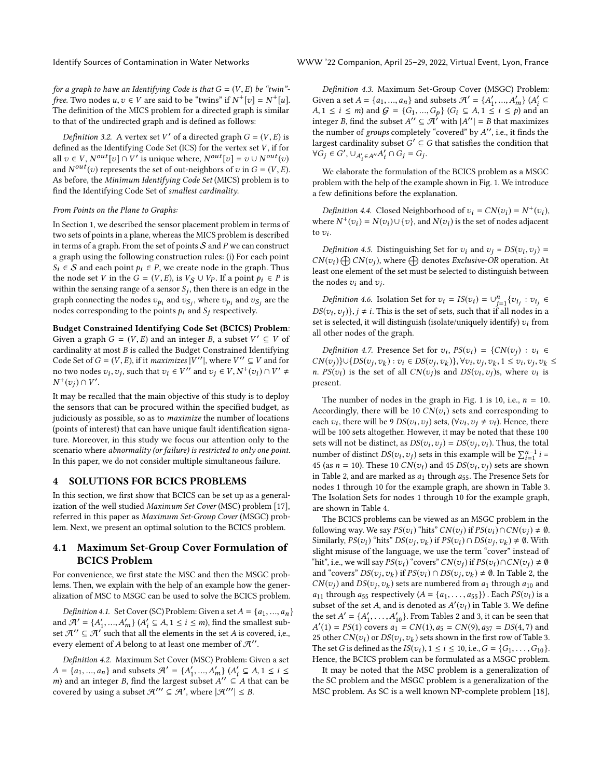for a graph to have an Identifying Code is that  $G = (V, E)$  be "twin"free. Two nodes  $u, v \in V$  are said to be "twins" if  $N^+[v] = N^+[u]$ .<br>The definition of the MICS problem for a directed graph is similar. The definition of the MICS problem for a directed graph is similar to that of the undirected graph and is defined as follows:

Definition 3.2. A vertex set  $V'$  of a directed graph  $G = (V, E)$  is<br>and as the Identifying Code Set (ICS) for the vertex set V, if for defined as the Identifying Code Set (ICS) for the vertex set  $V$ , if for all  $v \in V$ ,  $N^{out}[v] \cap V'$  is unique where,  $N^{out}[v] = v \cup N^{out}(v)$ <br>and  $N^{out}(v)$  represents the set of out-peighbors of  $v$  in  $G - (V, F)$ and  $N^{out}(v)$  represents the set of out-neighbors of v in  $G = (V, E)$ .<br>As before the Minimum Identifying Code Set (MICS) problem is to As before, the Minimum Identifying Code Set (MICS) problem is to find the Identifying Code Set of smallest cardinality.

#### From Points on the Plane to Graphs:

In Section [1,](#page-0-0) we described the sensor placement problem in terms of two sets of points in a plane, whereas the MICS problem is described in terms of a graph. From the set of points  $S$  and P we can construct a graph using the following construction rules: (i) For each point  $S_i \in S$  and each point  $p_i \in P$ , we create node in the graph. Thus the node set V in the  $G = (V, E)$ , is  $V_S \cup V_P$ . If a point  $p_i \in P$  is within the sensing range of a sensor  $S_j$ , then there is an edge in the graph connecting the nodes  $z_k$ , and  $z_k$ , where  $z_k$ , and  $z_k$ , are the graph connecting the nodes  $v_{p_i}$  and  $v_{S_j}$ , where  $v_{p_i}$  and  $v_{S_j}$  are the nodes corresponding to the points  $\rho_i$  and  $S_j$  respectively. nodes corresponding to the points  $p_i$  and  $S_i$  respectively.

Budget Constrained Identifying Code Set (BCICS) Problem: Given a graph  $G = (V, E)$  and an integer B, a subset  $V' \subseteq V$  of cardinality at most B is called the Budget Constrained Identifying cardinality at most B is called the Budget Constrained Identifying Code Set of  $G = (V, E)$ , if it maximizes  $|V''|$ , where  $V'' \subseteq V$  and for no two nodes zu zu such that  $z_1 \in V''$  and  $z_1 \in V$ ,  $N^+(z_1) \cap V' +$ no two nodes  $v_i, v_j$ , such that  $v_i \in V''$  and  $v_j \in V, N^+(v_i) \cap V' \neq N^+(v_i) \cap V''$  $^{+}(v_j) \cap V'.$ 

It may be recalled that the main objective of this study is to deploy the sensors that can be procured within the specified budget, as judiciously as possible, so as to maximize the number of locations (points of interest) that can have unique fault identification signature. Moreover, in this study we focus our attention only to the scenario where abnormality (or failure) is restricted to only one point. In this paper, we do not consider multiple simultaneous failure.

### 4 SOLUTIONS FOR BCICS PROBLEMS

In this section, we first show that BCICS can be set up as a generalization of the well studied Maximum Set Cover (MSC) problem [\[17\]](#page-5-30), referred in this paper as Maximum Set-Group Cover (MSGC) problem. Next, we present an optimal solution to the BCICS problem.

## 4.1 Maximum Set-Group Cover Formulation of BCICS Problem

For convenience, we first state the MSC and then the MSGC problems. Then, we explain with the help of an example how the generalization of MSC to MSGC can be used to solve the BCICS problem.

*Definition 4.1.* Set Cover (SC) Problem: Given a set  $A = \{a_1, ..., a_n\}$ and  $\mathcal{A}' = \{A'_1, ..., A'_m\}$   $(A'_i \subseteq A, 1 \le i \le m)$ , find the smallest subset  $\mathcal{A}'' \subseteq \mathcal{A}'$  such that all the elements in the set A is covered i.e. set  $A'' \subseteq A'$  such that all the elements in the set A is covered, i,e., every element of A belong to at least one member of  $\mathcal{H}^{\prime\prime}$ .

Definition 4.2. Maximum Set Cover (MSC) Problem: Given a set  $A = \{a_1, ..., a_n\}$  and subsets  $\mathcal{A}' = \{A'_1, ..., A'_m\}$   $(A'_i \subseteq A, 1 \le i \le m)$  and an integer R find the largest subset  $A'' \subset A$  that can be m) and an integer B, find the largest subset  $A''' = A + B = A + C = A + C$ <br>covered by using a subset  $A''' \subseteq A'$  where  $|A'''| \leq B$ covered by using a subset  $\mathcal{H}'' \subseteq \mathcal{H}'$ , where  $|\mathcal{H}'''| \leq B$ .

Definition 4.3. Maximum Set-Group Cover (MSGC) Problem: Given a set  $A = \{a_1, ..., a_n\}$  and subsets  $\mathcal{A}' = \{A'_1, ..., A'_m\}$   $\{A'_i \subseteq A \mid 1 \le i \le m\}$  and  $G = \{G_i, ..., G_k\}$   $\{G_i \subseteq A \mid 1 \le i \le n\}$  and an A,  $1 \le i \le m$ ) and  $G = \{G_1, ..., G_p\}$   $(G_i \subseteq A, 1 \le i \le p)$  and an integer R find the subset  $A'' \subseteq A'$  with  $|A''| = R$  that maximizes integer B, find the subset  $A'' \subseteq A'$  with  $|A''| = B$  that maximizes<br>the number of groups completely "covered" by  $A''$  i.e., it finds the the number of *groups* completely "covered" by  $A''$ , i.e., it finds the largest cardinality subset  $G' \subseteq G$  that satisfies the condition that largest cardinality subset  $G' \subseteq G$  that satisfies the condition that  $\forall G \in G' \cup \{d, d, e\}$  $\forall G_j \in G', \cup_{A'_i \in A''} A'_i \cap G_j = G_j.$ 

We elaborate the formulation of the BCICS problem as a MSGC problem with the help of the example shown in Fig. [1.](#page-1-0) We introduce a few definitions before the explanation.

Definition 4.4. Closed Neighborhood of  $v_i = CN(v_i) = N^+(v_i)$ ,<br>sere  $N^+(v_i) = N(v_i) \cup \{x_i\}$  and  $N(v_i)$  is the set of nodes adjacent. where  $N^+(v_i) = N(v_i) \cup \{v\}$ , and  $N(v_i)$  is the set of nodes adjacent to  $v_i$ . to  $v_i$ .

Definition 4.5. Distinguishing Set for  $v_i$  and  $v_j = DS(v_i, v_j) = I(x_i) \bigoplus CN(x_i)$  where  $\bigoplus$  denotes Exclusive-OP operation. At  $CN(v_i) \bigoplus CN(v_j)$ , where  $\bigoplus$  denotes *Exclusive-OR* operation. At least one element of the set must be selected to distinguish between least one element of the set must be selected to distinguish between the nodes  $v_i$  and  $v_j$ .

Definition 4.6. Isolation Set for  $v_i = IS(v_i) = \bigcup_{j=1}^n \{v_{ij} : v_{ij} \in$ <br> $S(v_i, v_j) \}$ ,  $j \neq i$ . This is the set of sets, such that if all nodes in a  $DS(v_i, v_j)$ ,  $j \neq i$ . This is the set of sets, such that if all nodes in a set is selected it will distinguish (isolate/uniquely identify)  $v_i$  from set is selected, it will distinguish (isolate/uniquely identify)  $v_i$  from all other nodes of the graph.

Definition 4.7. Presence Set for  $v_i$ ,  $PS(v_i) = \{CN(v_j) : v_i \in$ <br> $U^{(v)}(V) \cup (DS(v_i, v_i), v_i \in DS(v_i, v_i)) \}$ CN(vj)}∪{DS(vj, v<sub>k</sub>) : v<sub>i</sub> ∈ DS(vj, v<sub>k</sub>)},  $\forall v_i, v_j, v_k, 1 \le v_i, v_j, v_k \le$ n<br>
n PS(v<sub>i</sub>) is the set of all CN(vi)s and DS(v<sub>i</sub>, vi)s where v<sub>ij</sub> is  $v_i = (v_j, v_k)$ ,  $v_i = (v_j, v_k)$ ,  $v_i = (v_j, v_k)$ ,  $v_i, v_j, v_k = (v_i, v_j)$ ,  $v_k$ ,  $v_k = (v_i, v_j)$ ,  $v_k$  is negative present present.

The number of nodes in the graph in Fig. [1](#page-1-0) is 10, i.e.,  $n = 10$ . Accordingly, there will be 10  $CN(v_i)$  sets and corresponding to each  $v_i$ , there will be 9  $DS(v_i, v_j)$  sets,  $(\forall v_i, v_j \neq v_i)$ . Hence, there will be 100 sets altogether. However, it may be noted that these 100 will be 100 sets altogether. However, it may be noted that these 100 sets will not be distinct, as  $DS(v_i, v_j) = DS(v_j, v_i)$ . Thus, the total<br>number of distinct  $DS(v_i, v_j)$  exterior this argumple will be  $\Sigma^{n-1}$ : number of distinct  $DS(v_i, v_j)$  sets in this example will be  $\sum_{i=1}^{n-1} i = 45$  (se  $n = 10$ ). These 10  $CN(x)$  and 45  $DS(v_i, v_j)$  sets are shown number of distinct  $DS(v_i, v_j)$  sets in this example will be  $\sum_{i=1}^n i = 45$  (as  $n = 10$ ). These 10  $CN(v_i)$  and 45  $DS(v_i, v_j)$  sets are shown in Table 2, and are marked as  $a_i$ , through  $a_i$ , The Presence Sets for in Table [2,](#page-3-0) and are marked as  $a_1$  through  $a_{55}$ . The Presence Sets for nodes 1 through 10 for the example graph, are shown in Table [3.](#page-3-1) The Isolation Sets for nodes 1 through 10 for the example graph, are shown in Table [4.](#page-3-2)

The BCICS problems can be viewed as an MSGC problem in the following way. We say  $PS(v_i)$  "hits"  $CN(v_j)$  if  $PS(v_i) \cap CN(v_j) \neq \emptyset$ . Similarly,  $PS(v_i)$  "hits"  $DS(v_j, v_k)$  if  $PS(v_i) \cap DS(v_j, v_k) \neq \emptyset$ . With clight misuse of the language we use the term "cover" instead of slight misuse of the language, we use the term "cover" instead of "hit", i.e., we will say  $PS(v_i)$  "covers"  $CN(v_i)$  if  $PS(v_i) \cap CN(v_i) \neq \emptyset$ and "covers"  $DS(v_j, v_k)$  if  $PS(v_i) \cap DS(v_j, v_k) \neq \emptyset$ . In Table [2,](#page-3-0) the  $CN(v_j)$  and  $DS(v_j, v_k)$  sets are numbered from  $a_1$  through  $a_{10}$  and  $a_{11}$  through  $a_{12}$  respectively  $(A - \{a_1, a_2, a_3\})$ . Each  $PS(v_1)$  is a  $a_{11}$  through  $a_{55}$  respectively  $(A = \{a_1, \ldots, a_{55}\})$ . Each  $PS(v_i)$  is a subset of the set A and is denoted as  $A'(v_i)$  in Table 3. We define subset of the set A, and is denoted as  $A'(v_i)$  in Table [3.](#page-3-1) We define<br>the set  $A' = \frac{A'}{A}$ ,  $A' \sim \frac{A'}{A}$ . From Tables 2 and 3, it can be seen that the set  $A' = \{A'_1, \ldots, A'_{10}\}\$ . From Tables [2](#page-3-0) and [3,](#page-3-1) it can be seen that  $A'(1) = PS(1)$  covers  $a_i = CN(1)$   $a_i = CN(9)$   $a_{0i} = DS(4, 7)$  and  $\mathcal{L}'(1) = PS(1)$  covers  $a_1 = CN(1), a_5 = CN(9), a_{37} = DS(4, 7)$  and<br>5 other  $CN(x_1)$  or  $DS(x_1, x_1)$  sets shown in the first row of Table 3 25 other  $CN(v_i)$  or  $DS(v_j, v_k)$  sets shown in the first row of Table [3.](#page-3-1)<br>The set G is defined as the  $IS(v_i)$  1  $\le i \le 10$  i.e.  $G = IG$ . Gial. The set G is defined as the  $IS(v_i)$ ,  $1 \le i \le 10$ , i.e.,  $G = \{G_1, \ldots, G_{10}\}$ .<br>Hence the BCICS problem can be formulated as a MSGC problem Hence, the BCICS problem can be formulated as a MSGC problem.

It may be noted that the MSC problem is a generalization of the SC problem and the MSGC problem is a generalization of the MSC problem. As SC is a well known NP-complete problem [\[18\]](#page-5-13),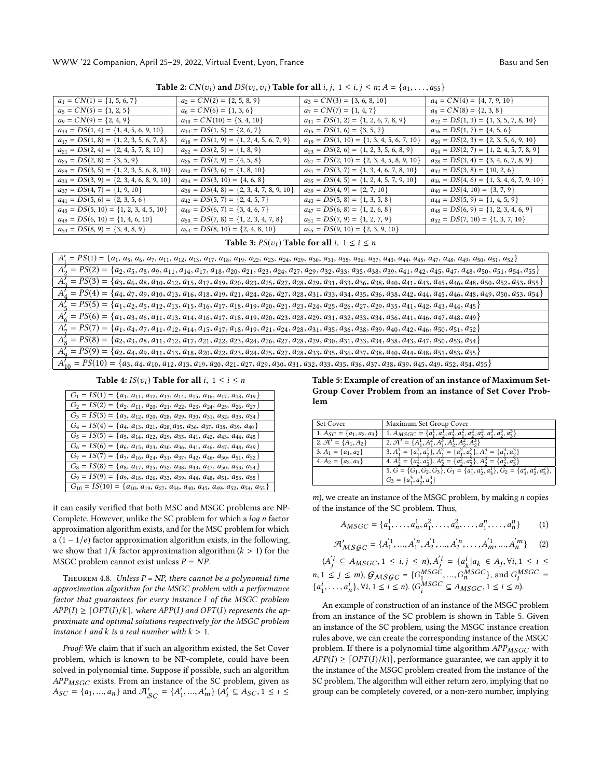WWW '22 Companion, April 25–29, 2022, Virtual Event, Lyon, France Same Basu and Sen Basu and Sen

<span id="page-3-0"></span>

| <b>Table 2:</b> $CN(v_i)$ and $DS(v_i, v_j)$ <b>Table for all</b> $i, j, 1 \le i, j \le n; A = \{a_1, , a_{55}\}$ |                                                |                                                 |                                                |  |  |  |
|-------------------------------------------------------------------------------------------------------------------|------------------------------------------------|-------------------------------------------------|------------------------------------------------|--|--|--|
| $a_1 = CN(1) = \{1, 5, 6, 7\}$                                                                                    | $a_2 = CN(2) = \{2, 5, 8, 9\}$                 | $a_3 = CN(3) = \{3, 6, 8, 10\}$                 | $a_4 = CN(4) = \{4, 7, 9, 10\}$                |  |  |  |
| $a_5 = CN(5) = \{1, 2, 5\}$                                                                                       | $a_6 = CN(6) = \{1, 3, 6\}$                    | $a_7 = CN(7) = \{1, 4, 7\}$                     | $a_8 = CN(8) = \{2, 3, 8\}$                    |  |  |  |
| $a_9 = CN(9) = \{2, 4, 9\}$                                                                                       | $a_{10} = CN(10) = \{3, 4, 10\}$               | $a_{11} = DS(1, 2) = \{1, 2, 6, 7, 8, 9\}$      | $a_{12} = DS(1, 3) = \{1, 3, 5, 7, 8, 10\}$    |  |  |  |
| $a_{13} = DS(1, 4) = \{1, 4, 5, 6, 9, 10\}$                                                                       | $a_{14} = DS(1, 5) = \{2, 6, 7\}$              | $a_{15} = DS(1, 6) = \{3, 5, 7\}$               | $a_{16} = DS(1, 7) = \{4, 5, 6\}$              |  |  |  |
| $a_{17} = DS(1, 8) = \{1, 2, 3, 5, 6, 7, 8\}$                                                                     | $a_{18} = DS(1, 9) = \{1, 2, 4, 5, 6, 7, 9\}$  | $a_{19} = DS(1, 10) = \{1, 3, 4, 5, 6, 7, 10\}$ | $a_{20} = DS(2, 3) = \{2, 3, 5, 6, 9, 10\}$    |  |  |  |
| $a_{21} = DS(2, 4) = \{2, 4, 5, 7, 8, 10\}$                                                                       | $a_{22} = DS(2, 5) = \{1, 8, 9\}$              | $a_{23} = DS(2, 6) = \{1, 2, 3, 5, 6, 8, 9\}$   | $a_{24} = DS(2, 7) = \{1, 2, 4, 5, 7, 8, 9\}$  |  |  |  |
| $a_{25} = DS(2, 8) = \{3, 5, 9\}$                                                                                 | $a_{26} = DS(2, 9) = \{4, 5, 8\}$              | $a_{27} = DS(2, 10) = \{2, 3, 4, 5, 8, 9, 10\}$ | $a_{28} = DS(3, 4) = \{3, 4, 6, 7, 8, 9\}$     |  |  |  |
| $a_{29} = DS(3, 5) = \{1, 2, 3, 5, 6, 8, 10\}$                                                                    | $a_{30} = DS(3, 6) = \{1, 8, 10\}$             | $a_{31} = DS(3, 7) = \{1, 3, 4, 6, 7, 8, 10\}$  | $a_{32} = DS(3, 8) = \{10, 2, 6\}$             |  |  |  |
| $a_{33} = DS(3, 9) = \{2, 3, 4, 6, 8, 9, 10\}$                                                                    | $a_{34} = DS(3, 10) = \{4, 6, 8\}$             | $a_{35} = DS(4, 5) = \{1, 2, 4, 5, 7, 9, 10\}$  | $a_{36} = DS(4, 6) = \{1, 3, 4, 6, 7, 9, 10\}$ |  |  |  |
| $a_{37} = DS(4, 7) = \{1, 9, 10\}$                                                                                | $a_{38} = DS(4, 8) = \{2, 3, 4, 7, 8, 9, 10\}$ | $a_{39} = DS(4, 9) = \{2, 7, 10\}$              | $a_{40} = DS(4, 10) = \{3, 7, 9\}$             |  |  |  |
| $a_{41} = DS(5, 6) = \{2, 3, 5, 6\}$                                                                              | $a_{42} = DS(5, 7) = \{2, 4, 5, 7\}$           | $a_{43} = DS(5, 8) = \{1, 3, 5, 8\}$            | $a_{44} = DS(5, 9) = \{1, 4, 5, 9\}$           |  |  |  |
| $a_{45} = DS(5, 10) = \{1, 2, 3, 4, 5, 10\}$                                                                      | $a_{46} = DS(6, 7) = \{3, 4, 6, 7\}$           | $a_{47} = DS(6, 8) = \{1, 2, 6, 8\}$            | $a_{48} = DS(6, 9) = \{1, 2, 3, 4, 6, 9\}$     |  |  |  |
| $a_{49} = DS(6, 10) = \{1, 4, 6, 10\}$                                                                            | $a_{50} = DS(7, 8) = \{1, 2, 3, 4, 7, 8\}$     | $a_{51} = DS(7, 9) = \{1, 2, 7, 9\}$            | $a_{52} = DS(7, 10) = \{1, 3, 7, 10\}$         |  |  |  |
| $a_{53} = DS(8, 9) = \{3, 4, 8, 9\}$                                                                              | $a_{54} = DS(8, 10) = \{2, 4, 8, 10\}$         | $a_{55} = DS(9, 10) = \{2, 3, 9, 10\}$          |                                                |  |  |  |
|                                                                                                                   |                                                |                                                 |                                                |  |  |  |

Table 3:  $PS(v_i)$  Table for all  $i, 1 \le i \le n$ 

<span id="page-3-1"></span>

| $A'_1 = PS(1) = \{a_1, a_5, a_6, a_7, a_{11}, a_{12}, a_{13}, a_{17}, a_{18}, a_{19}, a_{22}, a_{23}, a_{24}, a_{29}, a_{30}, a_{31}, a_{35}, a_{36}, a_{37}, a_{43}, a_{44}, a_{45}, a_{47}, a_{48}, a_{49}, a_{50}, a_{51}, a_{52}\}$    |
|--------------------------------------------------------------------------------------------------------------------------------------------------------------------------------------------------------------------------------------------|
| $A'_2 = PS(2) = \{a_2, a_5, a_8, a_9, a_{11}, a_{14}, a_{17}, a_{18}, a_{20}, a_{21}, a_{23}, a_{24}, a_{27}, a_{29}, a_{32}, a_{33}, a_{35}, a_{38}, a_{39}, a_{41}, a_{42}, a_{45}, a_{47}, a_{48}, a_{50}, a_{51}, a_{54}, a_{55}\}$    |
| $A'_4 = PS(3) = \{a_3, a_6, a_8, a_{10}, a_{12}, a_{15}, a_{17}, a_{19}, a_{20}, a_{23}, a_{25}, a_{27}, a_{28}, a_{29}, a_{31}, a_{33}, a_{36}, a_{38}, a_{40}, a_{41}, a_{43}, a_{45}, a_{46}, a_{48}, a_{50}, a_{52}, a_{53}, a_{55}\}$ |
| $A'_4 = PS(4) = \{a_4, a_7, a_9, a_{10}, a_{13}, a_{16}, a_{18}, a_{19}, a_{21}, a_{24}, a_{26}, a_{27}, a_{28}, a_{31}, a_{33}, a_{34}, a_{35}, a_{36}, a_{38}, a_{42}, a_{44}, a_{45}, a_{46}, a_{48}, a_{49}, a_{50}, a_{53}, a_{54}\}$ |
| $A'_{5} = PS(5) = \{a_1, a_2, a_5, a_{12}, a_{13}, a_{15}, a_{16}, a_{17}, a_{18}, a_{19}, a_{20}, a_{21}, a_{23}, a_{24}, a_{25}, a_{26}, a_{27}, a_{29}, a_{35}, a_{41}, a_{42}, a_{43}, a_{44}, a_{45}\}\$                              |
| $A'_{6} = PS(6) = \{a_{1}, a_{3}, a_{6}, a_{11}, a_{13}, a_{14}, a_{16}, a_{17}, a_{18}, a_{19}, a_{20}, a_{23}, a_{23}, a_{29}, a_{31}, a_{32}, a_{33}, a_{34}, a_{36}, a_{41}, a_{46}, a_{47}, a_{48}, a_{49}\}$                         |
| $A'_7 = PS(7) = \{a_1, a_4, a_7, a_{11}, a_{12}, a_{14}, a_{15}, a_{17}, a_{18}, a_{19}, a_{21}, a_{24}, a_{28}, a_{31}, a_{35}, a_{36}, a_{38}, a_{39}, a_{40}, a_{42}, a_{46}, a_{50}, a_{51}, a_{52}\}$                                 |
| $A'_8 = PS(8) = \{a_2, a_3, a_8, a_{11}, a_{12}, a_{17}, a_{21}, a_{22}, a_{23}, a_{24}, a_{26}, a_{27}, a_{28}, a_{29}, a_{30}, a_{31}, a_{33}, a_{34}, a_{38}, a_{47}, a_{50}, a_{53}, a_{54}\}$                                         |
| $A'_0 = PS(9) = \{a_2, a_4, a_9, a_{11}, a_{13}, a_{18}, a_{20}, a_{22}, a_{23}, a_{24}, a_{25}, a_{27}, a_{28}, a_{33}, a_{35}, a_{36}, a_{37}, a_{38}, a_{40}, a_{44}, a_{48}, a_{51}, a_{53}, a_{55}\}$                                 |
| $A'_{10} = PS(10) = \{a_3, a_4, a_{10}, a_{12}, a_{13}, a_{19}, a_{20}, a_{21}, a_{27}, a_{29}, a_{30}, a_{31}, a_{32}, a_{33}, a_{35}, a_{36}, a_{37}, a_{38}, a_{39}, a_{45}, a_{49}, a_{52}, a_{54}, a_{55}\}$                          |
|                                                                                                                                                                                                                                            |

#### Table 4:  $IS(v_i)$  Table for all  $i, 1 \le i \le n$

<span id="page-3-2"></span>

| $G_1 = IS(1) = \{a_1, a_{11}, a_{12}, a_{13}, a_{14}, a_{15}, a_{16}, a_{17}, a_{18}, a_{19}\}\$        |
|---------------------------------------------------------------------------------------------------------|
|                                                                                                         |
| $G_2 = IS(2) = \{a_2, a_{11}, a_{20}, a_{21}, a_{22}, a_{23}, a_{24}, a_{25}, a_{26}, a_{27}\}\$        |
| $G_3 = IS(3) = \{a_3, a_{12}, a_{20}, a_{28}, a_{29}, a_{30}, a_{31}, a_{32}, a_{33}, a_{34}\}\$        |
| $G_4 = IS(4) = \{a_4, a_{13}, a_{21}, a_{28}, a_{35}, a_{36}, a_{37}, a_{38}, a_{39}, a_{40}\}\$        |
| $G_5 = IS(5) = \{a_5, a_{14}, a_{22}, a_{29}, a_{35}, a_{41}, a_{42}, a_{43}, a_{44}, a_{45}\}\$        |
| $G_6 = IS(6) = \{a_6, a_{15}, a_{23}, a_{30}, a_{36}, a_{41}, a_{46}, a_{47}, a_{48}, a_{49}\}\$        |
| $G_7 = IS(7) = \{a_7, a_{16}, a_{24}, a_{31}, a_{37}, a_{42}, a_{46}, a_{50}, a_{51}, a_{52}\}\$        |
| $G_8 = IS(8) = \{a_8, a_{17}, a_{25}, a_{32}, a_{38}, a_{43}, a_{47}, a_{50}, a_{53}, a_{54}\}\$        |
| $G_9 = IS(9) = \{a_9, a_{18}, a_{26}, a_{33}, a_{39}, a_{44}, a_{48}, a_{51}, a_{53}, a_{55}\}\$        |
| $G_{10} = IS(10) = \{a_{10}, a_{19}, a_{27}, a_{34}, a_{40}, a_{45}, a_{49}, a_{52}, a_{54}, a_{55}\}\$ |
|                                                                                                         |

it can easily verified that both MSC and MSGC problems are NP-Complete. However, unlike the SC problem for which a loд n factor approximation algorithm exists, and for the MSC problem for which a (1 – 1/e) factor approximation algorithm exists, in the following, we show that  $1/k$  factor approximation algorithm  $(k > 1)$  for the MSGC problem cannot exist unless  $P = NP$ .

THEOREM 4.8. Unless  $P = NP$ , there cannot be a polynomial time approximation algorithm for the MSGC problem with a performance factor that guarantees for every instance I of the MSGC problem  $APP(I) \geq \lceil OPT(I)/k \rceil$ , where  $APP(I)$  and  $OPT(I)$  represents the approximate and optimal solutions respectively for the MSGC problem instance I and k is a real number with  $k > 1$ .

Proof: We claim that if such an algorithm existed, the Set Cover problem, which is known to be NP-complete, could have been solved in polynomial time. Suppose if possible, such an algorithm  $APP_{MSGC}$  exists. From an instance of the SC problem, given as  $A_{SC} = \{a_1, ..., a_n\}$  and  $\mathcal{A}_{SC}' = \{A'_1, ..., A\}$  ${m \choose m}$   $(\hat{A}'_i \subseteq A_{SC}, 1 \leq i \leq j)$ 

<span id="page-3-3"></span>Table 5: Example of creation of an instance of Maximum Set-Group Cover Problem from an instance of Set Cover Problem

| Set Cover                        | Maximum Set Group Cover                                                                          |
|----------------------------------|--------------------------------------------------------------------------------------------------|
| 1. $A_{SC} = \{a_1, a_2, a_3\}$  | 1. $A_{MSGC} = \{a_1^1, a_2^1, a_3^1, a_1^2, a_2^2, a_3^2, a_1^3, a_2^3, a_3^3\}$                |
| 2. $\mathcal{A}' = \{A_1, A_2\}$ | 2. $\mathcal{A}' = \{A_1^1, A_2^2, A_3^2\}$                                                      |
| 3. $A_1 = \{a_1, a_2\}$          | 3. $A_1^1 = \{a_1^1, a_2^1\}, A_2^2$<br>$\{a_1^2, a_2^2\}, A_1^2 = \{a_1^3, a_2^3\}$             |
| 4. $A_2 = \{a_2, a_3\}$          | 4. $A_0^1 = \{a_0^1, a_0^1\}$                                                                    |
|                                  | 5. $G = \{G_1, G_2, G_3\}$ , $G_1 = \{a_1^1, a_2^1, a_3^1\}$ , $G_2 = \{a_1^2, a_2^2, a_3^2\}$ , |
|                                  | $G_3 = \{a_1^3, a_2^3, a_3^3\}$                                                                  |

 $m$ ), we create an instance of the MSGC problem, by making  $n$  copies of the instance of the SC problem. Thus,

$$
A_{MSGC} = \{a_1^1, \dots, a_n^1, a_1^2, \dots, a_n^2, \dots, a_1^n, \dots, a_n^n\} \tag{1}
$$

$$
\mathcal{A}'_{MSGC} = \{A'_1^1, ..., A'_1^n, A'_2^1, ..., A'_2^n, ..., A'_m^1, ..., A'_m^n\}
$$
 (2)

 $\mathcal{A}_{MSGC}' = \{A_1^{'1}, ..., A_1^{'n}, A_2^{'1}, ..., A_2^{'n}, ..., A_m^{'1}, ..., A_m^{'m}\}\$  (2)<br>  $(A_j^{'i} \subseteq A_{MSGC}, 1 \le i, j \le n), A_j^{'i} = \{a_k^i | a_k \in A_j, \forall i, 1 \le i \le n\}$ <br>  $A_j^{'i} \subseteq A_j^{'i}$  $n, 1 \le j \le m$ ,  $G_{MSGC} = \{G_1^{MSGC}, ..., G_n^{MSGC}\}$ , and  $G_1^{MSGC}$ <br>  $G_1^{j}$ ,  $G_2^{j}$ ,  $G_3^{j}$ ,  $G_4^{j}$ ,  $G_5^{j}$ ,  $G_6^{j}$ ,  $G_7^{j}$ ,  $G_7^{j}$ ,  $G_8^{j}$ ,  $G_7^{j}$ ,  $G_8^{j}$ ,  $G_9^{j}$ ,  $G_9^{j}$ ,  $G_9^{j}$ ,  $G_9^{j}$ ,  $G_9^{j}$ , =  $\{a_1^i, \dots, a_n^i\}, \forall i, 1 \le i \le n\}$ .  $(G_i^{MSCC} \subseteq A_{MSCC}, 1 \le i \le n)$ .

An example of construction of an instance of the MSGC problem from an instance of the SC problem is shown in Table [5.](#page-3-3) Given an instance of the SC problem, using the MSGC instance creation rules above, we can create the corresponding instance of the MSGC problem. If there is a polynomial time algorithm  $APP_{MSGC}$  with  $APP(I) \geq [OPT(I)/k]$ , performance guarantee, we can apply it to the instance of the MSGC problem created from the instance of the SC problem. The algorithm will either return zero, implying that no group can be completely covered, or a non-zero number, implying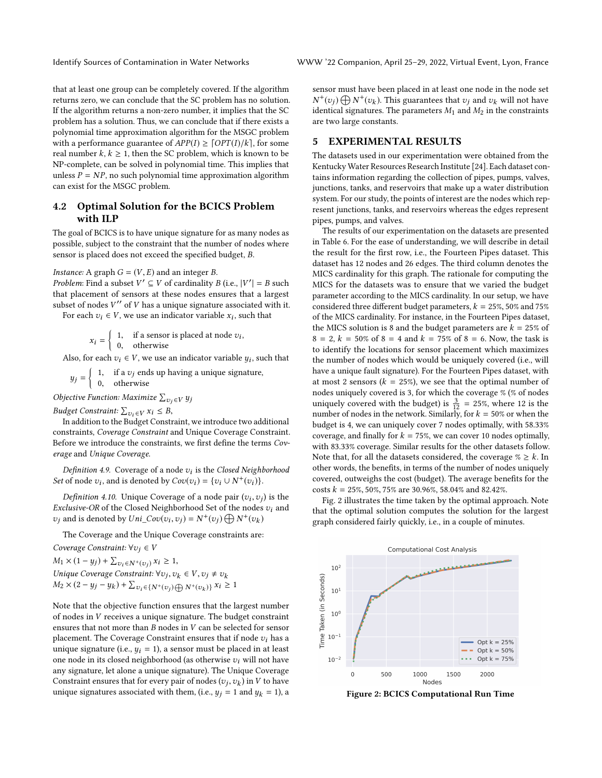that at least one group can be completely covered. If the algorithm returns zero, we can conclude that the SC problem has no solution. If the algorithm returns a non-zero number, it implies that the SC problem has a solution. Thus, we can conclude that if there exists a polynomial time approximation algorithm for the MSGC problem with a performance guarantee of  $APP(I) \geq [OPT(I)/k]$ , for some real number  $k, k \geq 1$ , then the SC problem, which is known to be NP-complete, can be solved in polynomial time. This implies that unless  $P = NP$ , no such polynomial time approximation algorithm can exist for the MSGC problem.

# 4.2 Optimal Solution for the BCICS Problem with ILP

The goal of BCICS is to have unique signature for as many nodes as possible, subject to the constraint that the number of nodes where sensor is placed does not exceed the specified budget, B.

### *Instance:* A graph  $G = (V, E)$  and an integer *B*.

Problem: Find a subset  $V' \subseteq V$  of cardinality  $B$  (i.e.,  $|V'| = B$  such that placement of censors at these nodes ensures that a largest that placement of sensors at these nodes ensures that a largest subset of nodes  $V''$  of V has a unique signature associated with it.<br>For each  $v_1 \in V$ , we use an indicator variable  $x_1$ , such that For each  $v_i \in V$ , we use an indicator variable  $x_i$ , such that

 $x_i = \begin{cases} 1, & \text{if a sensor is placed at node } v_i, \\ 0, & \text{otherwise} \end{cases}$ 0, otherwise

Also, for each  $v_i \in V$ , we use an indicator variable  $y_i$ , such that

$$
y_j =\n\begin{cases}\n1, & \text{if a } v_j \text{ ends up having a unique signature,} \\
0, & \text{otherwise}\n\end{cases}
$$

<sup>0</sup>, otherwise

*Objective Function: Maximize*  $\sum_{v_j \in V} y_j$ 

Budget Constraint:  $\sum_{v_i \in V} x_i \leq B$ ,<br>In addition to the Budget Consti

In addition to the Budget Constraint, we introduce two additional constraints, Coverage Constraint and Unique Coverage Constraint. Before we introduce the constraints, we first define the terms Coverage and Unique Coverage.

Definition 4.9. Coverage of a node  $v_i$  is the Closed Neighborhood<br>i of node zurand is denoted by  $Cov(v_i) = \{v_i | \{N^+(v_i)\}\}$ *Set* of node  $v_i$ , and is denoted by  $Cov(v_i) = \{v_i \cup N^+(v_i)\}.$ 

Definition 4.10. Unique Coverage of a node pair  $(v_i, v_j)$  is the clusive-OB of the Closed Neighborhood Set of the nodes an and Exclusive-OR of the Closed Neighborhood Set of the nodes  $v_i$  and<br>  $v_i$  and is denoted by *Uni*  $C_2v(v_1, v_2) = N^+(v_1) \bigoplus N^+(v_2)$  $v_j$  and is denoted by  $Uni\_Cov(v_i, v_j) = N^+(v_j) \bigoplus N^+(v_k)$ 

The Coverage and the Unique Coverage constraints are:

Coverage Constraint:  $\forall v_i \in V$  $M_1 \times (1 - y_j) + \sum_{v_i \in N^+(v_j)} x_i \ge 1,$ Unique Coverage Constraint:  $\forall v_j, v_k \in V, v_j \neq v_k$ <br>  $M_0 \times (2 - \mu_j - \mu_k) + \sum_{v \in V} f(v_j, v_k, v_k, v_k, v_k, v_k)$  $M_2 \times (2 - y_j - y_k) + \sum_{v_i \in \{N^+(v_j) \oplus N^+(v_k)\}} x_i \ge 1$ 

Note that the objective function ensures that the largest number of nodes in V receives a unique signature. The budget constraint ensures that not more than B nodes in V can be selected for sensor placement. The Coverage Constraint ensures that if node  $v_i$  has a unique signature (i.e.,  $y_i = 1$ ), a sensor must be placed in at least one node in its closed neighborhood (as otherwise  $v_i$  will not have any signature, let alone a unique signature). The Unique Coverage Constraint ensures that for every pair of nodes  $(v_j, v_k)$  in V to have<br>unique signatures associated with them  $(i, e, u_i = 1 \text{ and } u_i = 1)$ unique signatures associated with them, (i.e.,  $y_j = 1$  and  $y_k = 1$ ), a sensor must have been placed in at least one node in the node set  $\frac{1}{2}$  identical signatures. The parameters  $M_1$  and  $M_2$  in the constraints  $v(t) \bigoplus N^+(v_k)$ . This guarantees that  $v_j$  and  $v_k$  will not have are two large constants.

## 5 EXPERIMENTAL RESULTS

The datasets used in our experimentation were obtained from the Kentucky Water Resources Research Institute [\[24\]](#page-5-10). Each dataset contains information regarding the collection of pipes, pumps, valves, junctions, tanks, and reservoirs that make up a water distribution system. For our study, the points of interest are the nodes which represent junctions, tanks, and reservoirs whereas the edges represent pipes, pumps, and valves.

The results of our experimentation on the datasets are presented in Table [6.](#page-5-31) For the ease of understanding, we will describe in detail the result for the first row, i.e., the Fourteen Pipes dataset. This dataset has 12 nodes and 26 edges. The third column denotes the MICS cardinality for this graph. The rationale for computing the MICS for the datasets was to ensure that we varied the budget parameter according to the MICS cardinality. In our setup, we have considered three different budget parameters,  $k = 25\%$ , 50% and 75% of the MICS cardinality. For instance, in the Fourteen Pipes dataset, the MICS solution is 8 and the budget parameters are  $k = 25\%$  of  $8 = 2, k = 50\%$  of  $8 = 4$  and  $k = 75\%$  of  $8 = 6$ . Now, the task is to identify the locations for sensor placement which maximizes the number of nodes which would be uniquely covered (i.e., will have a unique fault signature). For the Fourteen Pipes dataset, with at most 2 sensors ( $k = 25\%$ ), we see that the optimal number of nodes uniquely covered is 3, for which the coverage % (% of nodes uniquely covered with the budget) is  $\frac{3}{12}$  = 25%, where 12 is the number of nodes in the network. Similarly, for  $k = 50\%$  or when the budget is 4, we can uniquely cover 7 nodes optimally, with 58.33% coverage, and finally for  $k = 75\%$ , we can cover 10 nodes optimally, with 83.33% coverage. Similar results for the other datasets follow. Note that, for all the datasets considered, the coverage  $\% \geq k$ . In other words, the benefits, in terms of the number of nodes uniquely covered, outweighs the cost (budget). The average benefits for the costs  $k = 25\%, 50\%, 75\%$  are 30.96%, 58.04% and 82.42%.

Fig. [2](#page-4-0) illustrates the time taken by the optimal approach. Note that the optimal solution computes the solution for the largest graph considered fairly quickly, i.e., in a couple of minutes.

<span id="page-4-0"></span>

Figure 2: BCICS Computational Run Time